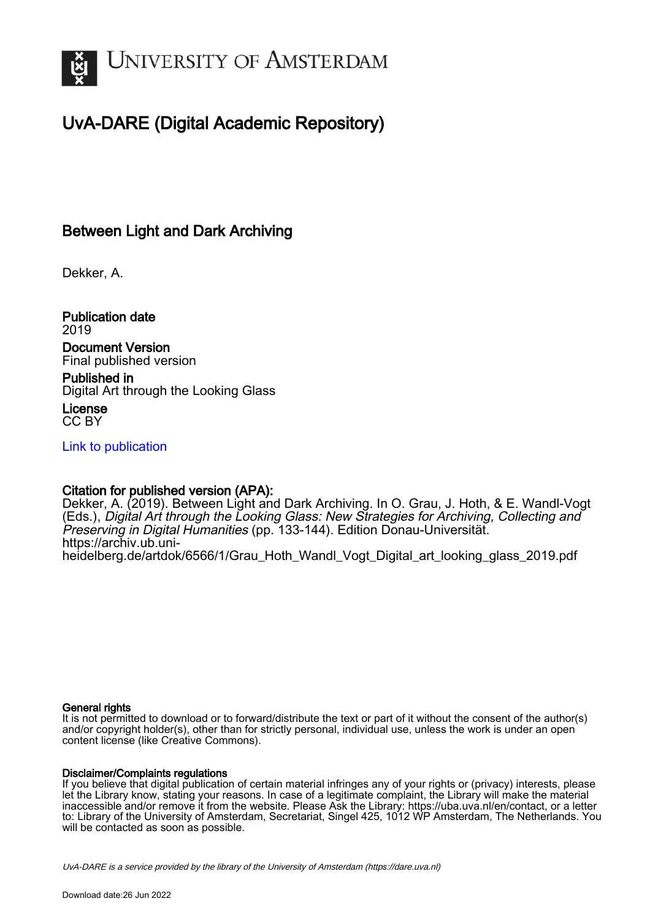

# UvA-DARE (Digital Academic Repository)

## Between Light and Dark Archiving

Dekker, A.

Publication date 2019 Document Version

Final published version

Published in Digital Art through the Looking Glass

License CC BY

[Link to publication](https://dare.uva.nl/personal/pure/en/publications/between-light-and-dark-archiving(43e4ca4e-b07b-4065-a6fb-7ec8cd55e509).html)

### Citation for published version (APA):

Dekker, A. (2019). Between Light and Dark Archiving. In O. Grau, J. Hoth, & E. Wandl-Vogt (Eds.), Digital Art through the Looking Glass: New Strategies for Archiving, Collecting and Preserving in Digital Humanities (pp. 133-144). Edition Donau-Universität. [https://archiv.ub.uni](https://archiv.ub.uni-heidelberg.de/artdok/6566/1/Grau_Hoth_Wandl_Vogt_Digital_art_looking_glass_2019.pdf)[heidelberg.de/artdok/6566/1/Grau\\_Hoth\\_Wandl\\_Vogt\\_Digital\\_art\\_looking\\_glass\\_2019.pdf](https://archiv.ub.uni-heidelberg.de/artdok/6566/1/Grau_Hoth_Wandl_Vogt_Digital_art_looking_glass_2019.pdf)

#### General rights

It is not permitted to download or to forward/distribute the text or part of it without the consent of the author(s) and/or copyright holder(s), other than for strictly personal, individual use, unless the work is under an open content license (like Creative Commons).

#### Disclaimer/Complaints regulations

If you believe that digital publication of certain material infringes any of your rights or (privacy) interests, please let the Library know, stating your reasons. In case of a legitimate complaint, the Library will make the material inaccessible and/or remove it from the website. Please Ask the Library: https://uba.uva.nl/en/contact, or a letter to: Library of the University of Amsterdam, Secretariat, Singel 425, 1012 WP Amsterdam, The Netherlands. You will be contacted as soon as possible.

UvA-DARE is a service provided by the library of the University of Amsterdam (http*s*://dare.uva.nl)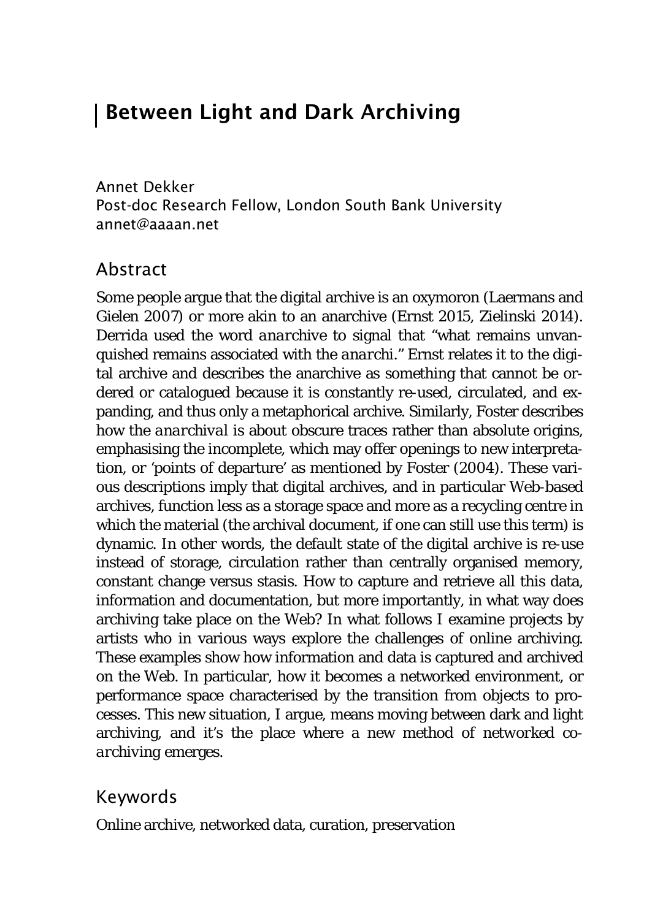# Between Light and Dark Archiving

Annet Dekker Post-doc Research Fellow, London South Bank University annet@aaaan.net

### Abstract

Some people argue that the digital archive is an oxymoron (Laermans and Gielen 2007) or more akin to an anarchive (Ernst 2015, Zielinski 2014). Derrida used the word *anarchive* to signal that "what remains unvanquished remains associated with the *anarchi."* Ernst relates it to the digital archive and describes the anarchive as something that cannot be ordered or catalogued because it is constantly re-used, circulated, and expanding, and thus only a metaphorical archive. Similarly, Foster describes how the *anarchival* is about obscure traces rather than absolute origins, emphasising the incomplete, which may offer openings to new interpretation, or 'points of departure' as mentioned by Foster (2004). These various descriptions imply that digital archives, and in particular Web-based archives, function less as a storage space and more as a recycling centre in which the material (the archival document, if one can still use this term) is dynamic. In other words, the default state of the digital archive is re-use instead of storage, circulation rather than centrally organised memory, constant change versus stasis. How to capture and retrieve all this data, information and documentation, but more importantly, in what way does archiving take place on the Web? In what follows I examine projects by artists who in various ways explore the challenges of online archiving. These examples show how information and data is captured and archived on the Web. In particular, how it becomes a networked environment, or performance space characterised by the transition from objects to processes. This new situation, I argue, means moving between dark and light archiving, and it's the place where a new method of *networked coarchiving* emerges.

#### Keywords

Online archive, networked data, curation, preservation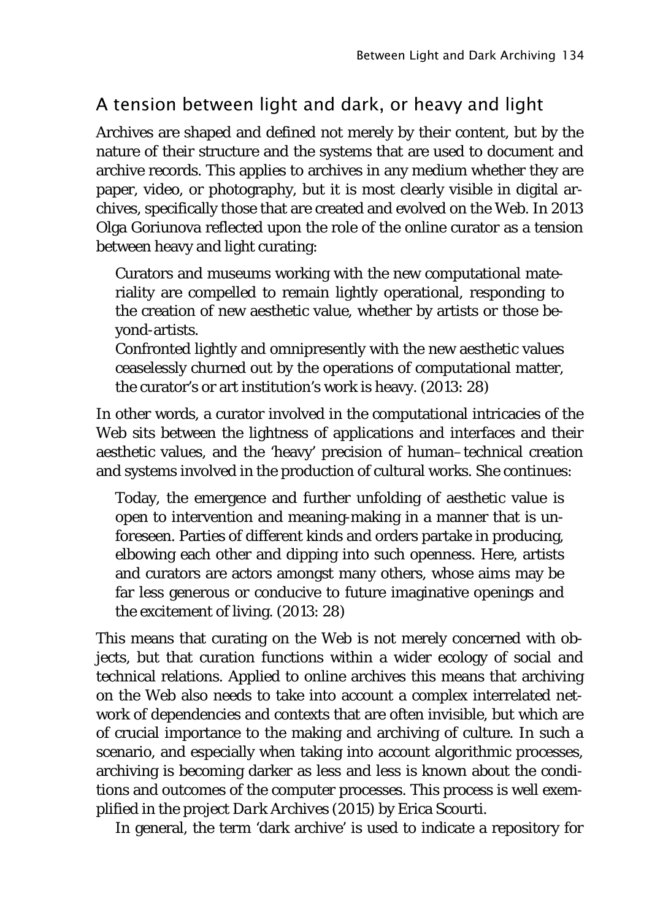# A tension between light and dark, or heavy and light

Archives are shaped and defined not merely by their content, but by the nature of their structure and the systems that are used to document and archive records. This applies to archives in any medium whether they are paper, video, or photography, but it is most clearly visible in digital archives, specifically those that are created and evolved on the Web. In 2013 Olga Goriunova reflected upon the role of the online curator as a tension between heavy and light curating:

Curators and museums working with the new computational materiality are compelled to remain lightly operational, responding to the creation of new aesthetic value, whether by artists or those beyond-artists.

Confronted lightly and omnipresently with the new aesthetic values ceaselessly churned out by the operations of computational matter, the curator's or art institution's work is heavy. (2013: 28)

In other words, a curator involved in the computational intricacies of the Web sits between the lightness of applications and interfaces and their aesthetic values, and the 'heavy' precision of human–technical creation and systems involved in the production of cultural works. She continues:

Today, the emergence and further unfolding of aesthetic value is open to intervention and meaning-making in a manner that is unforeseen. Parties of different kinds and orders partake in producing, elbowing each other and dipping into such openness. Here, artists and curators are actors amongst many others, whose aims may be far less generous or conducive to future imaginative openings and the excitement of living. (2013: 28)

This means that curating on the Web is not merely concerned with objects, but that curation functions within a wider ecology of social and technical relations. Applied to online archives this means that archiving on the Web also needs to take into account a complex interrelated network of dependencies and contexts that are often invisible, but which are of crucial importance to the making and archiving of culture. In such a scenario, and especially when taking into account algorithmic processes, archiving is becoming darker as less and less is known about the conditions and outcomes of the computer processes. This process is well exemplified in the project *Dark Archives* (2015) by Erica Scourti.

In general, the term 'dark archive' is used to indicate a repository for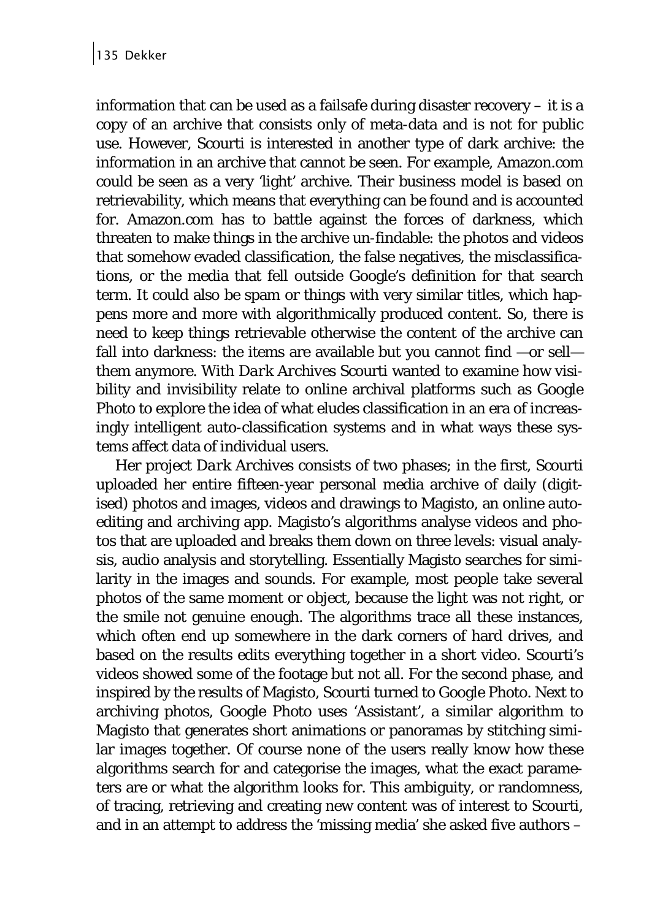information that can be used as a failsafe during disaster recovery  $-$  it is a copy of an archive that consists only of meta-data and is not for public use. However, Scourti is interested in another type of dark archive: the information in an archive that cannot be seen. For example, Amazon.com could be seen as a very 'light' archive. Their business model is based on retrievability, which means that everything can be found and is accounted for. Amazon.com has to battle against the forces of darkness, which threaten to make things in the archive un-findable: the photos and videos that somehow evaded classification, the false negatives, the misclassifications, or the media that fell outside Google's definition for that search term. It could also be spam or things with very similar titles, which happens more and more with algorithmically produced content. So, there is need to keep things retrievable otherwise the content of the archive can fall into darkness: the items are available but you cannot find —or sell them anymore. With *Dark Archives* Scourti wanted to examine how visibility and invisibility relate to online archival platforms such as Google Photo to explore the idea of what eludes classification in an era of increasingly intelligent auto-classification systems and in what ways these systems affect data of individual users.

Her project *Dark Archives* consists of two phases; in the first, Scourti uploaded her entire fifteen-year personal media archive of daily (digitised) photos and images, videos and drawings to Magisto, an online autoediting and archiving app. Magisto's algorithms analyse videos and photos that are uploaded and breaks them down on three levels: visual analysis, audio analysis and storytelling. Essentially Magisto searches for similarity in the images and sounds. For example, most people take several photos of the same moment or object, because the light was not right, or the smile not genuine enough. The algorithms trace all these instances, which often end up somewhere in the dark corners of hard drives, and based on the results edits everything together in a short video. Scourti's videos showed some of the footage but not all. For the second phase, and inspired by the results of Magisto, Scourti turned to Google Photo. Next to archiving photos, Google Photo uses 'Assistant', a similar algorithm to Magisto that generates short animations or panoramas by stitching similar images together. Of course none of the users really know how these algorithms search for and categorise the images, what the exact parameters are or what the algorithm looks for. This ambiguity, or randomness, of tracing, retrieving and creating new content was of interest to Scourti, and in an attempt to address the 'missing media' she asked five authors –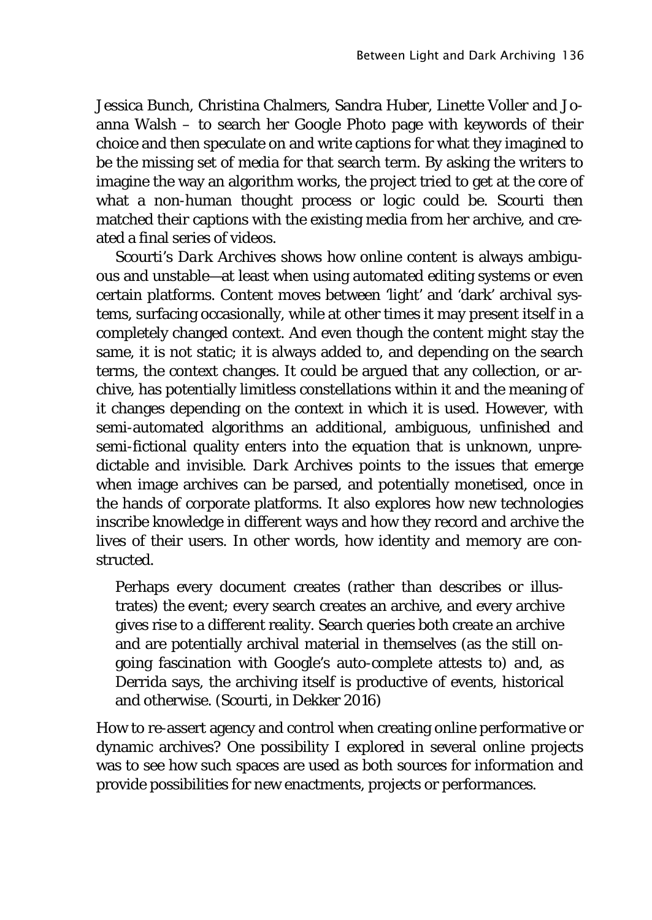Jessica Bunch, Christina Chalmers, Sandra Huber, Linette Voller and Joanna Walsh – to search her Google Photo page with keywords of their choice and then speculate on and write captions for what they imagined to be the missing set of media for that search term. By asking the writers to imagine the way an algorithm works, the project tried to get at the core of what a non-human thought process or logic could be. Scourti then matched their captions with the existing media from her archive, and created a final series of videos.

Scourti's *Dark Archives* shows how online content is always ambiguous and unstable—at least when using automated editing systems or even certain platforms. Content moves between 'light' and 'dark' archival systems, surfacing occasionally, while at other times it may present itself in a completely changed context. And even though the content might stay the same, it is not static; it is always added to, and depending on the search terms, the context changes. It could be argued that any collection, or archive, has potentially limitless constellations within it and the meaning of it changes depending on the context in which it is used. However, with semi-automated algorithms an additional, ambiguous, unfinished and semi-fictional quality enters into the equation that is unknown, unpredictable and invisible. *Dark Archives* points to the issues that emerge when image archives can be parsed, and potentially monetised, once in the hands of corporate platforms. It also explores how new technologies inscribe knowledge in different ways and how they record and archive the lives of their users. In other words, how identity and memory are constructed.

Perhaps every document creates (rather than describes or illustrates) the event; every search creates an archive, and every archive gives rise to a different reality. Search queries both create an archive and are potentially archival material in themselves (as the still ongoing fascination with Google's auto-complete attests to) and, as Derrida says, the archiving itself is productive of events, historical and otherwise. (Scourti, in Dekker 2016)

How to re-assert agency and control when creating online performative or dynamic archives? One possibility I explored in several online projects was to see how such spaces are used as both sources for information and provide possibilities for new enactments, projects or performances.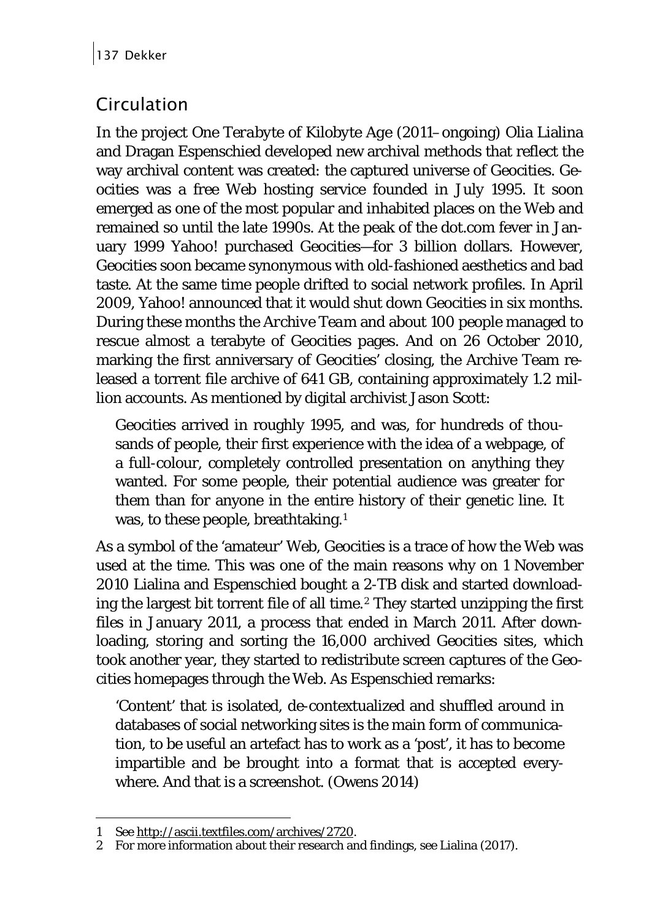# Circulation

In the project *One Terabyte of Kilobyte Age* (2011–ongoing) Olia Lialina and Dragan Espenschied developed new archival methods that reflect the way archival content was created: the captured universe of Geocities. Geocities was a free Web hosting service founded in July 1995. It soon emerged as one of the most popular and inhabited places on the Web and remained so until the late 1990s. At the peak of the dot.com fever in January 1999 Yahoo! purchased Geocities—for 3 billion dollars. However, Geocities soon became synonymous with old-fashioned aesthetics and bad taste. At the same time people drifted to social network profiles. In April 2009, Yahoo! announced that it would shut down Geocities in six months. During these months the *Archive Team* and about 100 people managed to rescue almost a terabyte of Geocities pages. And on 26 October 2010, marking the first anniversary of Geocities' closing, the Archive Team released a torrent file archive of 641 GB, containing approximately 1.2 million accounts. As mentioned by digital archivist Jason Scott:

Geocities arrived in roughly 1995, and was, for hundreds of thousands of people, their first experience with the idea of a webpage, of a full-colour, completely controlled presentation on anything they wanted. For some people, their potential audience was greater for them than for anyone in the entire history of their genetic line. It was, to these people, breathtaking.<sup>1</sup>

As a symbol of the 'amateur' Web, Geocities is a trace of how the Web was used at the time. This was one of the main reasons why on 1 November 2010 Lialina and Espenschied bought a 2-TB disk and started downloading the largest bit torrent file of all time.[2](#page-5-1) They started unzipping the first files in January 2011, a process that ended in March 2011. After downloading, storing and sorting the 16,000 archived Geocities sites, which took another year, they started to redistribute screen captures of the Geocities homepages through the Web. As Espenschied remarks:

'Content' that is isolated, de-contextualized and shuffled around in databases of social networking sites is the main form of communication, to be useful an artefact has to work as a 'post', it has to become impartible and be brought into a format that is accepted everywhere. And that is a screenshot. (Owens 2014)

<span id="page-5-0"></span><sup>1</sup> See [http://ascii.textfiles.com/archives/2720.](http://ascii.textfiles.com/archives/2720)

<span id="page-5-1"></span><sup>2</sup> For more information about their research and findings, see Lialina (2017).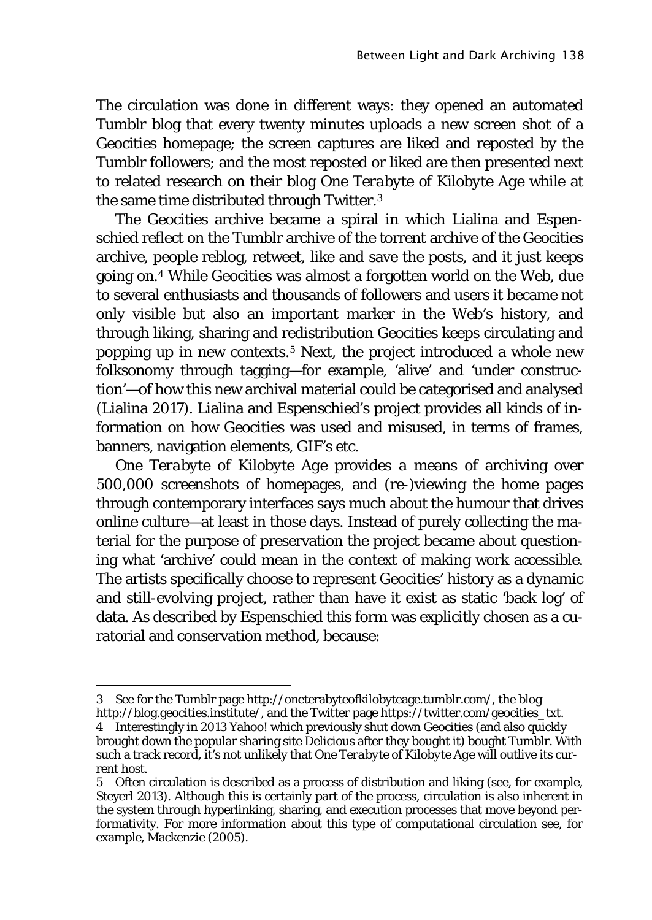The circulation was done in different ways: they opened an automated Tumblr blog that every twenty minutes uploads a new screen shot of a Geocities homepage; the screen captures are liked and reposted by the Tumblr followers; and the most reposted or liked are then presented next to related research on their blog *One Terabyte of Kilobyte Age* while at the same time distributed through Twitter.[3](#page-6-0)

The Geocities archive became a spiral in which Lialina and Espenschied reflect on the Tumblr archive of the torrent archive of the Geocities archive, people reblog, retweet, like and save the posts, and it just keeps going on.[4](#page-6-1) While Geocities was almost a forgotten world on the Web, due to several enthusiasts and thousands of followers and users it became not only visible but also an important marker in the Web's history, and through liking, sharing and redistribution Geocities keeps circulating and popping up in new contexts.[5](#page-6-2) Next, the project introduced a whole new folksonomy through tagging—for example, 'alive' and 'under construction'—of how this new archival material could be categorised and analysed (Lialina 2017). Lialina and Espenschied's project provides all kinds of information on how Geocities was used and misused, in terms of frames, banners, navigation elements, GIF's etc.

*One Terabyte of Kilobyte Age* provides a means of archiving over 500,000 screenshots of homepages, and (re-)viewing the home pages through contemporary interfaces says much about the humour that drives online culture—at least in those days. Instead of purely collecting the material for the purpose of preservation the project became about questioning what 'archive' could mean in the context of making work accessible. The artists specifically choose to represent Geocities' history as a dynamic and still-evolving project, rather than have it exist as static 'back log' of data. As described by Espenschied this form was explicitly chosen as a curatorial and conservation method, because:

<span id="page-6-0"></span><sup>3</sup> See for the Tumblr page http://oneterabyteofkilobyteage.tumblr.com/, the blog http://blog.geocities.institute/, and the Twitter page https://twitter.com/geocities\_txt.

<span id="page-6-1"></span><sup>4</sup> Interestingly in 2013 Yahoo! which previously shut down Geocities (and also quickly brought down the popular sharing site Delicious after they bought it) bought Tumblr. With such a track record, it's not unlikely that *One Terabyte of Kilobyte Age* will outlive its current host.

<span id="page-6-2"></span><sup>5</sup> Often circulation is described as a process of distribution and liking (see, for example, Steyerl 2013). Although this is certainly part of the process, circulation is also inherent in the system through hyperlinking, sharing, and execution processes that move beyond performativity. For more information about this type of computational circulation see, for example, Mackenzie (2005).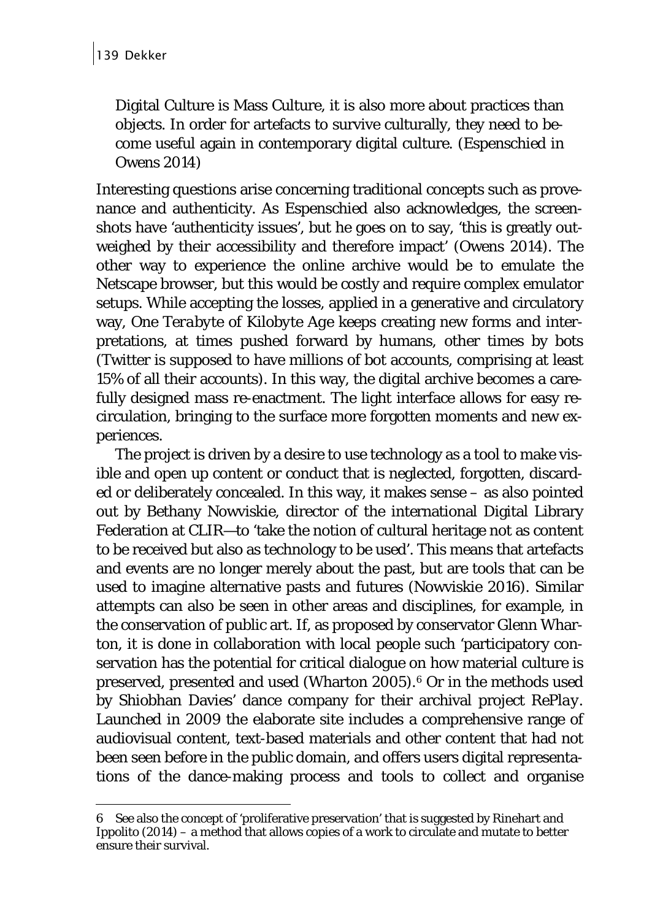Digital Culture is Mass Culture, it is also more about practices than objects. In order for artefacts to survive culturally, they need to become useful again in contemporary digital culture. (Espenschied in Owens 2014)

Interesting questions arise concerning traditional concepts such as provenance and authenticity. As Espenschied also acknowledges, the screenshots have 'authenticity issues', but he goes on to say, 'this is greatly outweighed by their accessibility and therefore impact' (Owens 2014). The other way to experience the online archive would be to emulate the Netscape browser, but this would be costly and require complex emulator setups. While accepting the losses, applied in a generative and circulatory way, *One Terabyte of Kilobyte Age* keeps creating new forms and interpretations, at times pushed forward by humans, other times by bots (Twitter is supposed to have millions of bot accounts, comprising at least 15% of all their accounts). In this way, the digital archive becomes a carefully designed mass re-enactment. The light interface allows for easy recirculation, bringing to the surface more forgotten moments and new experiences.

The project is driven by a desire to use technology as a tool to make visible and open up content or conduct that is neglected, forgotten, discarded or deliberately concealed. In this way, it makes sense – as also pointed out by Bethany Nowviskie, director of the international Digital Library Federation at CLIR—to 'take the notion of cultural heritage not as content to be received but also as technology to be used'. This means that artefacts and events are no longer merely about the past, but are tools that can be used to imagine alternative pasts and futures (Nowviskie 2016). Similar attempts can also be seen in other areas and disciplines, for example, in the conservation of public art. If, as proposed by conservator Glenn Wharton, it is done in collaboration with local people such 'participatory conservation has the potential for critical dialogue on how material culture is preserved, presented and used (Wharton 2005).[6](#page-7-0) Or in the methods used by Shiobhan Davies' dance company for their archival project *RePlay*. Launched in 2009 the elaborate site includes a comprehensive range of audiovisual content, text-based materials and other content that had not been seen before in the public domain, and offers users digital representations of the dance-making process and tools to collect and organise

<span id="page-7-0"></span><sup>6</sup> See also the concept of 'proliferative preservation' that is suggested by Rinehart and Ippolito  $(2014)$  – a method that allows copies of a work to circulate and mutate to better ensure their survival.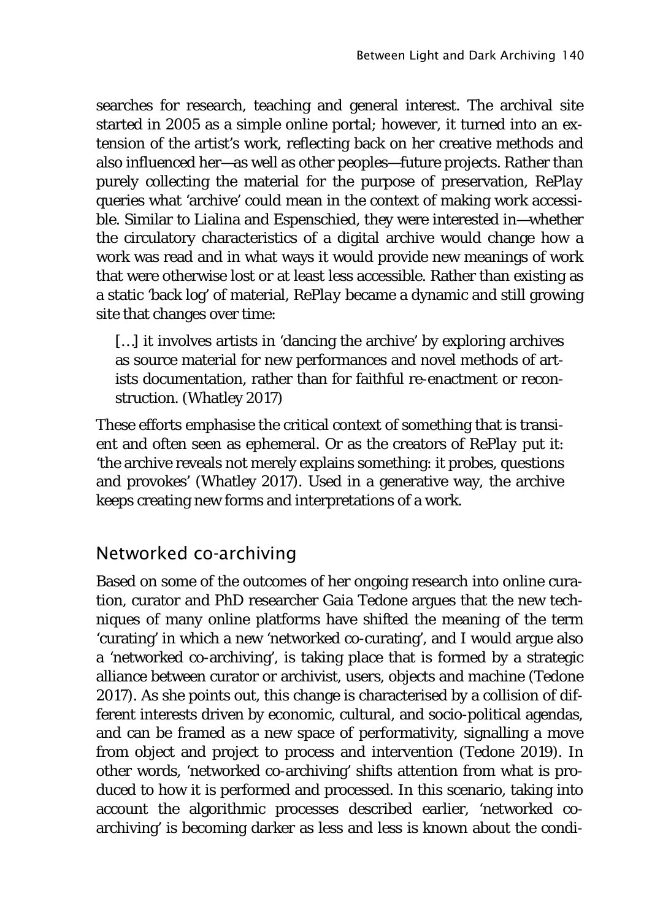searches for research, teaching and general interest. The archival site started in 2005 as a simple online portal; however, it turned into an extension of the artist's work, reflecting back on her creative methods and also influenced her—as well as other peoples—future projects. Rather than purely collecting the material for the purpose of preservation, *RePlay* queries what 'archive' could mean in the context of making work accessible. Similar to Lialina and Espenschied, they were interested in—whether the circulatory characteristics of a digital archive would change how a work was read and in what ways it would provide new meanings of work that were otherwise lost or at least less accessible. Rather than existing as a static 'back log' of material, *RePlay* became a dynamic and still growing site that changes over time:

[...] it involves artists in 'dancing the archive' by exploring archives as source material for new performances and novel methods of artists documentation, rather than for faithful re-enactment or reconstruction. (Whatley 2017)

These efforts emphasise the critical context of something that is transient and often seen as ephemeral. Or as the creators of *RePlay* put it: 'the archive reveals not merely explains something: it probes, questions and provokes' (Whatley 2017). Used in a generative way, the archive keeps creating new forms and interpretations of a work.

## Networked co-archiving

Based on some of the outcomes of her ongoing research into online curation, curator and PhD researcher Gaia Tedone argues that the new techniques of many online platforms have shifted the meaning of the term 'curating' in which a new 'networked co-curating', and I would argue also a 'networked co-archiving', is taking place that is formed by a strategic alliance between curator or archivist, users, objects and machine (Tedone 2017). As she points out, this change is characterised by a collision of different interests driven by economic, cultural, and socio-political agendas, and can be framed as a new space of performativity, signalling a move from object and project to process and intervention (Tedone 2019). In other words, 'networked co-archiving' shifts attention from what is produced to how it is performed and processed. In this scenario, taking into account the algorithmic processes described earlier, 'networked coarchiving' is becoming darker as less and less is known about the condi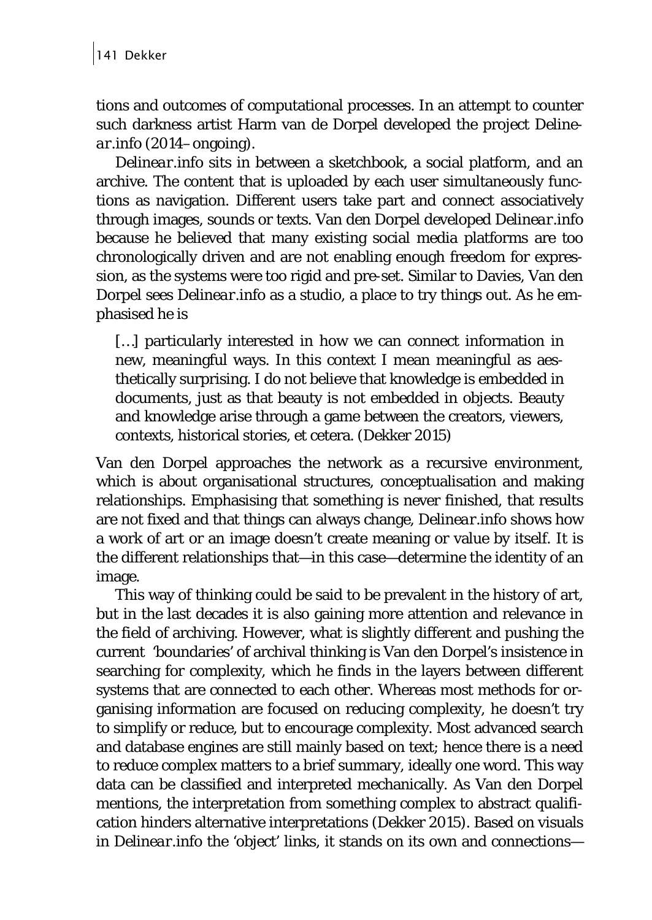tions and outcomes of computational processes. In an attempt to counter such darkness artist Harm van de Dorpel developed the project *Delinear.info* (2014–ongoing).

*Delinear.info* sits in between a sketchbook, a social platform, and an archive. The content that is uploaded by each user simultaneously functions as navigation. Different users take part and connect associatively through images, sounds or texts. Van den Dorpel developed *Delinear.info* because he believed that many existing social media platforms are too chronologically driven and are not enabling enough freedom for expression, as the systems were too rigid and pre-set. Similar to Davies, Van den Dorpel sees *Delinear.info* as a studio, a place to try things out. As he emphasised he is

[...] particularly interested in how we can connect information in new, meaningful ways. In this context I mean meaningful as aesthetically surprising. I do not believe that knowledge is embedded in documents, just as that beauty is not embedded in objects. Beauty and knowledge arise through a game between the creators, viewers, contexts, historical stories, et cetera. (Dekker 2015)

Van den Dorpel approaches the network as a recursive environment, which is about organisational structures, conceptualisation and making relationships. Emphasising that something is never finished, that results are not fixed and that things can always change, *Delinear.info* shows how a work of art or an image doesn't create meaning or value by itself. It is the different relationships that—in this case—determine the identity of an image.

This way of thinking could be said to be prevalent in the history of art, but in the last decades it is also gaining more attention and relevance in the field of archiving. However, what is slightly different and pushing the current 'boundaries' of archival thinking is Van den Dorpel's insistence in searching for complexity, which he finds in the layers between different systems that are connected to each other. Whereas most methods for organising information are focused on reducing complexity, he doesn't try to simplify or reduce, but to encourage complexity. Most advanced search and database engines are still mainly based on text; hence there is a need to reduce complex matters to a brief summary, ideally one word. This way data can be classified and interpreted mechanically. As Van den Dorpel mentions, the interpretation from something complex to abstract qualification hinders alternative interpretations (Dekker 2015). Based on visuals in *Delinear.info* the 'object' links, it stands on its own and connections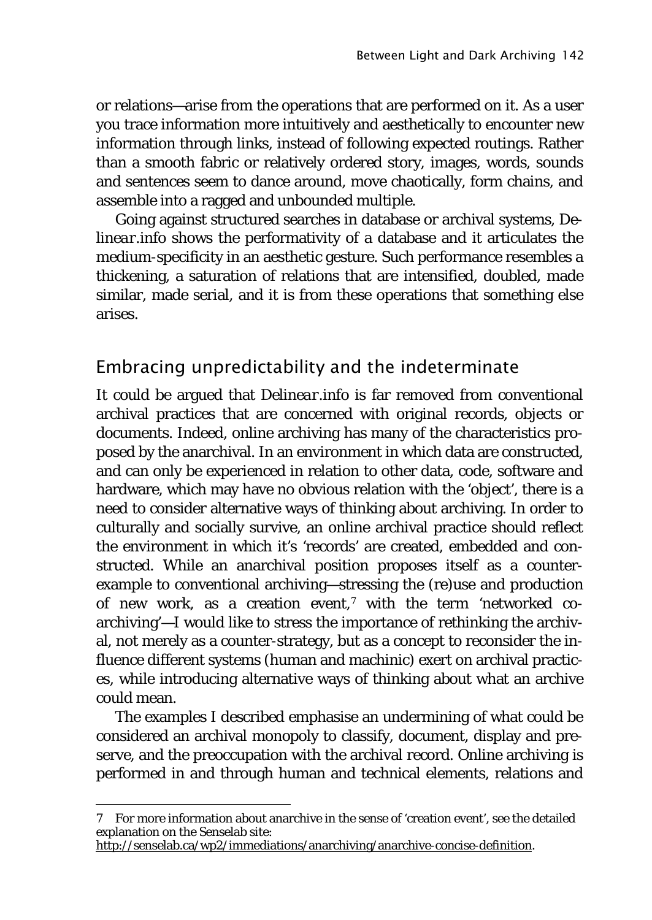or relations—arise from the operations that are performed on it. As a user you trace information more intuitively and aesthetically to encounter new information through links, instead of following expected routings. Rather than a smooth fabric or relatively ordered story, images, words, sounds and sentences seem to dance around, move chaotically, form chains, and assemble into a ragged and unbounded multiple.

Going against structured searches in database or archival systems, *Delinear.info* shows the performativity of a database and it articulates the medium-specificity in an aesthetic gesture. Such performance resembles a thickening, a saturation of relations that are intensified, doubled, made similar, made serial, and it is from these operations that something else arises.

### Embracing unpredictability and the indeterminate

It could be argued that *Delinear.info* is far removed from conventional archival practices that are concerned with original records, objects or documents. Indeed, online archiving has many of the characteristics proposed by the anarchival. In an environment in which data are constructed, and can only be experienced in relation to other data, code, software and hardware, which may have no obvious relation with the 'object', there is a need to consider alternative ways of thinking about archiving. In order to culturally and socially survive, an online archival practice should reflect the environment in which it's 'records' are created, embedded and constructed. While an anarchival position proposes itself as a counterexample to conventional archiving—stressing the (re)use and production of new work, as a creation event,<sup>[7](#page-10-0)</sup> with the term 'networked coarchiving'—I would like to stress the importance of rethinking the archival, not merely as a counter-strategy, but as a concept to reconsider the influence different systems (human and machinic) exert on archival practices, while introducing alternative ways of thinking about what an archive could mean.

The examples I described emphasise an undermining of what could be considered an archival monopoly to classify, document, display and preserve, and the preoccupation with the archival record. Online archiving is performed in and through human and technical elements, relations and

<span id="page-10-0"></span><sup>7</sup> For more information about anarchive in the sense of 'creation event', see the detailed explanation on the Senselab site:

[http://senselab.ca/wp2/immediations/anarchiving/anarchive-concise-definition.](http://senselab.ca/wp2/immediations/anarchiving/anarchive-concise-definition)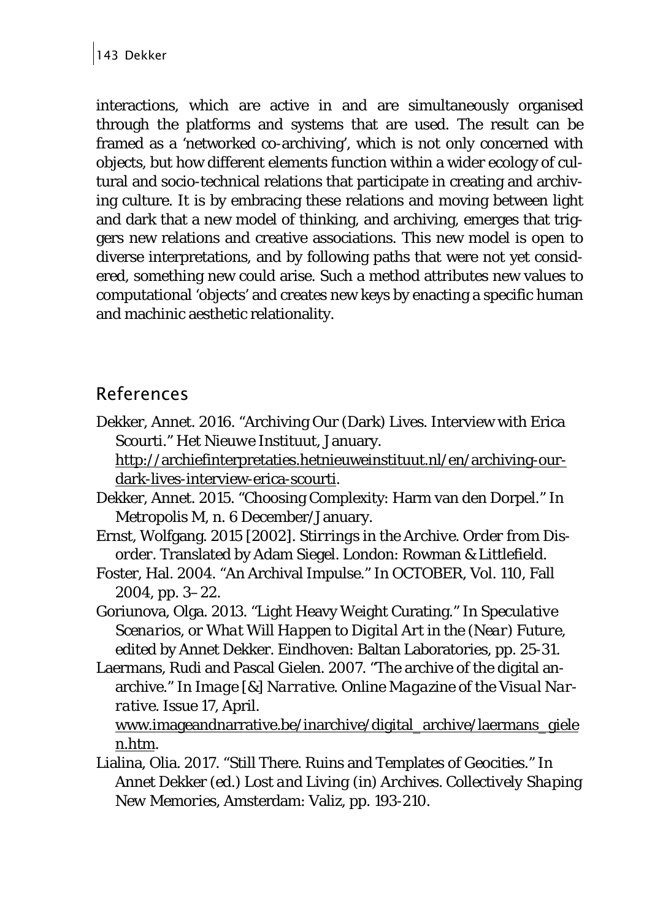interactions, which are active in and are simultaneously organised through the platforms and systems that are used. The result can be framed as a 'networked co-archiving', which is not only concerned with objects, but how different elements function within a wider ecology of cultural and socio-technical relations that participate in creating and archiving culture. It is by embracing these relations and moving between light and dark that a new model of thinking, and archiving, emerges that triggers new relations and creative associations. This new model is open to diverse interpretations, and by following paths that were not yet considered, something new could arise. Such a method attributes new values to computational 'objects' and creates new keys by enacting a specific human and machinic aesthetic relationality.

### References

Dekker, Annet. 2016. "Archiving Our (Dark) Lives. Interview with Erica Scourti." *Het Nieuwe Instituut*, January. [http://archiefinterpretaties.hetnieuweinstituut.nl/en/archiving-our-](http://archiefinterpretaties.hetnieuweinstituut.nl/en/archiving-our-dark-lives-interview-erica-scourti)

[dark-lives-interview-erica-scourti.](http://archiefinterpretaties.hetnieuweinstituut.nl/en/archiving-our-dark-lives-interview-erica-scourti)

- Dekker, Annet. 2015. "Choosing Complexity: Harm van den Dorpel." In *Metropolis M*, n. 6 December/January.
- Ernst, Wolfgang. 2015 [2002]. *Stirrings in the Archive. Order from Disorder*. Translated by Adam Siegel. London: Rowman & Littlefield.
- Foster, Hal. 2004. "An Archival Impulse." In *OCTOBER*, Vol. 110, Fall 2004, pp. 3–22.
- Goriunova, Olga. 2013. "Light Heavy Weight Curating." In *Speculative Scenarios, or What Will Happen to Digital Art in the (Near) Future*, edited by Annet Dekker. Eindhoven: Baltan Laboratories, pp. 25-31.
- Laermans, Rudi and Pascal Gielen. 2007. "The archive of the digital anarchive." In *Image [&] Narrative. Online Magazine of the Visual Narrative*. Issue 17, April.

[www.imageandnarrative.be/inarchive/digital\\_archive/laermans\\_giele](http://www.imageandnarrative.be/inarchive/digital_archive/laermans_gielen.htm) [n.htm.](http://www.imageandnarrative.be/inarchive/digital_archive/laermans_gielen.htm)

Lialina, Olia. 2017. "Still There. Ruins and Templates of Geocities." In Annet Dekker (ed.) *Lost and Living (in) Archives. Collectively Shaping New Memories*, Amsterdam: Valiz, pp. 193-210.